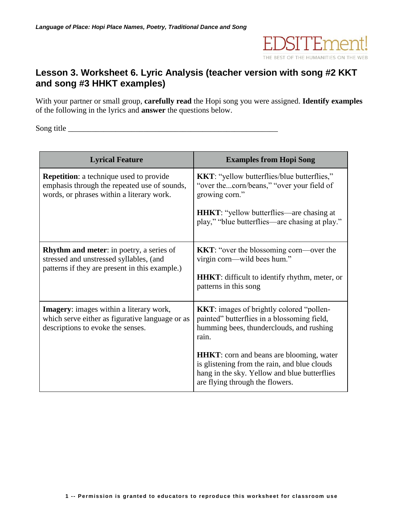

## **Lesson 3. Worksheet 6. Lyric Analysis (teacher version with song #2 KKT and song #3 HHKT examples)**

With your partner or small group, **carefully read** the Hopi song you were assigned. **Identify examples** of the following in the lyrics and **answer** the questions below.

Song title \_\_\_\_\_\_\_\_\_\_\_\_\_\_\_\_\_\_\_\_\_\_\_\_\_\_\_\_\_\_\_\_\_\_\_\_\_\_\_\_\_\_\_\_\_\_\_\_\_\_\_\_\_

| <b>Lyrical Feature</b>                                                                                                                       | <b>Examples from Hopi Song</b>                                                                                                                                                      |
|----------------------------------------------------------------------------------------------------------------------------------------------|-------------------------------------------------------------------------------------------------------------------------------------------------------------------------------------|
| <b>Repetition:</b> a technique used to provide<br>emphasis through the repeated use of sounds,<br>words, or phrases within a literary work.  | KKT: "yellow butterflies/blue butterflies,"<br>"over thecorn/beans," "over your field of<br>growing corn."                                                                          |
|                                                                                                                                              | <b>HHKT:</b> "yellow butterflies—are chasing at<br>play," "blue butterflies—are chasing at play."                                                                                   |
| <b>Rhythm and meter:</b> in poetry, a series of<br>stressed and unstressed syllables, (and<br>patterns if they are present in this example.) | <b>KKT:</b> "over the blossoming corn—over the<br>virgin corn—wild bees hum."<br><b>HHKT</b> : difficult to identify rhythm, meter, or<br>patterns in this song                     |
| <b>Imagery:</b> images within a literary work,<br>which serve either as figurative language or as<br>descriptions to evoke the senses.       | <b>KKT:</b> images of brightly colored "pollen-<br>painted" butterflies in a blossoming field,<br>humming bees, thunderclouds, and rushing<br>rain.                                 |
|                                                                                                                                              | <b>HHKT</b> : corn and beans are blooming, water<br>is glistening from the rain, and blue clouds<br>hang in the sky. Yellow and blue butterflies<br>are flying through the flowers. |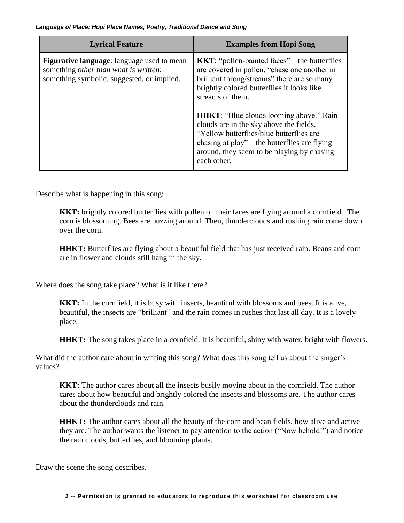| <b>Lyrical Feature</b>                                                                                                            | <b>Examples from Hopi Song</b>                                                                                                                                                                                                                                                                                                                                                                                                                                           |
|-----------------------------------------------------------------------------------------------------------------------------------|--------------------------------------------------------------------------------------------------------------------------------------------------------------------------------------------------------------------------------------------------------------------------------------------------------------------------------------------------------------------------------------------------------------------------------------------------------------------------|
| Figurative language: language used to mean<br>something other than what is written;<br>something symbolic, suggested, or implied. | <b>KKT:</b> "pollen-painted faces"—the butterflies<br>are covered in pollen, "chase one another in<br>brilliant throng/streams" there are so many<br>brightly colored butterflies it looks like<br>streams of them.<br><b>HHKT:</b> "Blue clouds looming above." Rain<br>clouds are in the sky above the fields.<br>"Yellow butterflies/blue butterflies are<br>chasing at play"—the butterflies are flying<br>around, they seem to be playing by chasing<br>each other. |

Describe what is happening in this song:

**KKT:** brightly colored butterflies with pollen on their faces are flying around a cornfield. The corn is blossoming. Bees are buzzing around. Then, thunderclouds and rushing rain come down over the corn.

**HHKT:** Butterflies are flying about a beautiful field that has just received rain. Beans and corn are in flower and clouds still hang in the sky.

Where does the song take place? What is it like there?

**KKT:** In the cornfield, it is busy with insects, beautiful with blossoms and bees. It is alive, beautiful, the insects are "brilliant" and the rain comes in rushes that last all day. It is a lovely place.

**HHKT:** The song takes place in a cornfield. It is beautiful, shiny with water, bright with flowers.

What did the author care about in writing this song? What does this song tell us about the singer's values?

**KKT:** The author cares about all the insects busily moving about in the cornfield. The author cares about how beautiful and brightly colored the insects and blossoms are. The author cares about the thunderclouds and rain.

**HHKT:** The author cares about all the beauty of the corn and bean fields, how alive and active they are. The author wants the listener to pay attention to the action ("Now behold!") and notice the rain clouds, butterflies, and blooming plants.

Draw the scene the song describes.